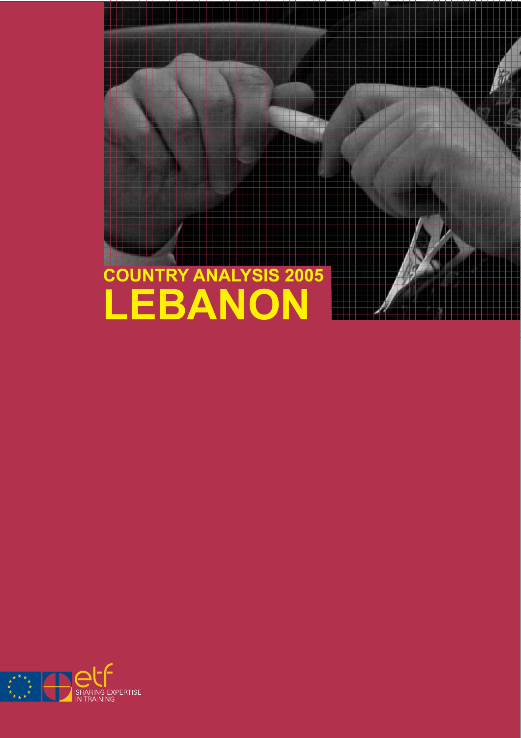

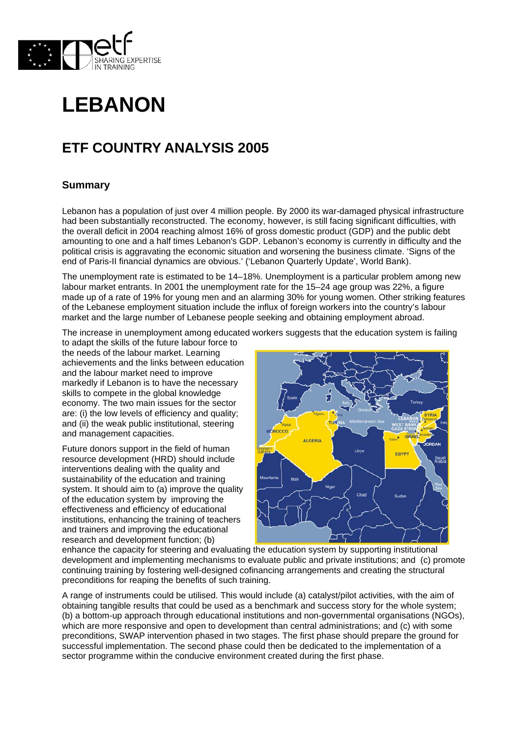



# **ETF COUNTRY ANALYSIS 2005**

## **Summary**

Lebanon has a population of just over 4 million people. By 2000 its war-damaged physical infrastructure had been substantially reconstructed. The economy, however, is still facing significant difficulties, with the overall deficit in 2004 reaching almost 16% of gross domestic product (GDP) and the public debt amounting to one and a half times Lebanon's GDP. Lebanon's economy is currently in difficulty and the political crisis is aggravating the economic situation and worsening the business climate. 'Signs of the end of Paris-II financial dynamics are obvious.' ('Lebanon Quarterly Update', World Bank).

The unemployment rate is estimated to be 14–18%. Unemployment is a particular problem among new labour market entrants. In 2001 the unemployment rate for the 15–24 age group was 22%, a figure made up of a rate of 19% for young men and an alarming 30% for young women. Other striking features of the Lebanese employment situation include the influx of foreign workers into the country's labour market and the large number of Lebanese people seeking and obtaining employment abroad.

The increase in unemployment among educated workers suggests that the education system is failing

to adapt the skills of the future labour force to the needs of the labour market. Learning achievements and the links between education and the labour market need to improve markedly if Lebanon is to have the necessary skills to compete in the global knowledge economy. The two main issues for the sector are: (i) the low levels of efficiency and quality; and (ii) the weak public institutional, steering and management capacities.

Future donors support in the field of human resource development (HRD) should include interventions dealing with the quality and sustainability of the education and training system. It should aim to (a) improve the quality of the education system by improving the effectiveness and efficiency of educational institutions, enhancing the training of teachers and trainers and improving the educational research and development function; (b)



enhance the capacity for steering and evaluating the education system by supporting institutional development and implementing mechanisms to evaluate public and private institutions; and (c) promote continuing training by fostering well-designed cofinancing arrangements and creating the structural preconditions for reaping the benefits of such training.

A range of instruments could be utilised. This would include (a) catalyst/pilot activities, with the aim of obtaining tangible results that could be used as a benchmark and success story for the whole system; (b) a bottom-up approach through educational institutions and non-governmental organisations (NGOs), which are more responsive and open to development than central administrations; and (c) with some preconditions, SWAP intervention phased in two stages. The first phase should prepare the ground for successful implementation. The second phase could then be dedicated to the implementation of a sector programme within the conducive environment created during the first phase.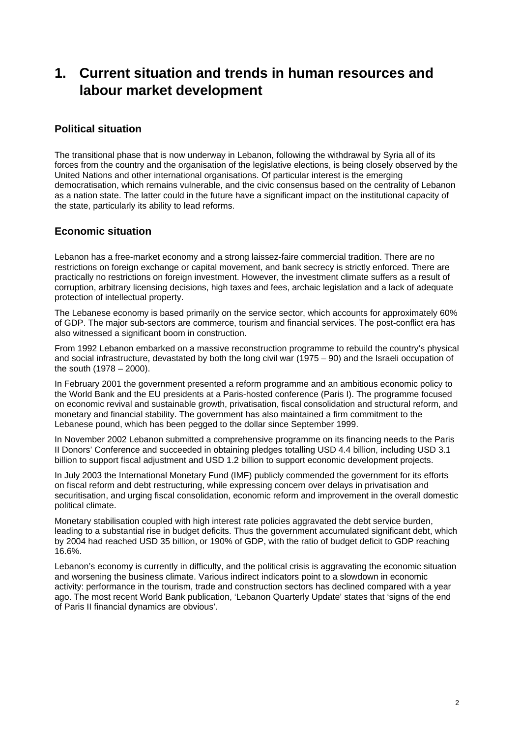# **1. Current situation and trends in human resources and labour market development**

## **Political situation**

The transitional phase that is now underway in Lebanon, following the withdrawal by Syria all of its forces from the country and the organisation of the legislative elections, is being closely observed by the United Nations and other international organisations. Of particular interest is the emerging democratisation, which remains vulnerable, and the civic consensus based on the centrality of Lebanon as a nation state. The latter could in the future have a significant impact on the institutional capacity of the state, particularly its ability to lead reforms.

## **Economic situation**

Lebanon has a free-market economy and a strong laissez-faire commercial tradition. There are no restrictions on foreign exchange or capital movement, and bank secrecy is strictly enforced. There are practically no restrictions on foreign investment. However, the investment climate suffers as a result of corruption, arbitrary licensing decisions, high taxes and fees, archaic legislation and a lack of adequate protection of intellectual property.

The Lebanese economy is based primarily on the service sector, which accounts for approximately 60% of GDP. The major sub-sectors are commerce, tourism and financial services. The post-conflict era has also witnessed a significant boom in construction.

From 1992 Lebanon embarked on a massive reconstruction programme to rebuild the country's physical and social infrastructure, devastated by both the long civil war (1975 – 90) and the Israeli occupation of the south (1978 – 2000).

In February 2001 the government presented a reform programme and an ambitious economic policy to the World Bank and the EU presidents at a Paris-hosted conference (Paris I). The programme focused on economic revival and sustainable growth, privatisation, fiscal consolidation and structural reform, and monetary and financial stability. The government has also maintained a firm commitment to the Lebanese pound, which has been pegged to the dollar since September 1999.

In November 2002 Lebanon submitted a comprehensive programme on its financing needs to the Paris II Donors' Conference and succeeded in obtaining pledges totalling USD 4.4 billion, including USD 3.1 billion to support fiscal adjustment and USD 1.2 billion to support economic development projects.

In July 2003 the International Monetary Fund (IMF) publicly commended the government for its efforts on fiscal reform and debt restructuring, while expressing concern over delays in privatisation and securitisation, and urging fiscal consolidation, economic reform and improvement in the overall domestic political climate.

Monetary stabilisation coupled with high interest rate policies aggravated the debt service burden, leading to a substantial rise in budget deficits. Thus the government accumulated significant debt, which by 2004 had reached USD 35 billion, or 190% of GDP, with the ratio of budget deficit to GDP reaching 16.6%.

Lebanon's economy is currently in difficulty, and the political crisis is aggravating the economic situation and worsening the business climate. Various indirect indicators point to a slowdown in economic activity: performance in the tourism, trade and construction sectors has declined compared with a year ago. The most recent World Bank publication, 'Lebanon Quarterly Update' states that 'signs of the end of Paris II financial dynamics are obvious'.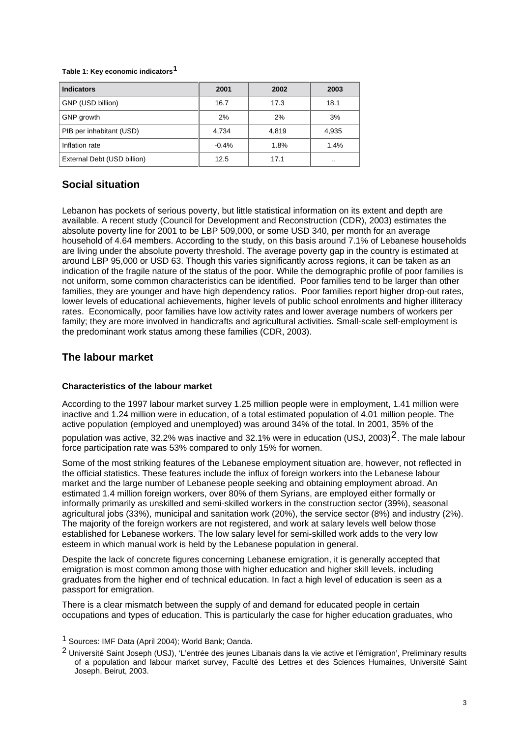#### **Table 1: Key economic indicators[1](#page-3-0)**

| <b>Indicators</b>           | 2001    | 2002  | 2003      |
|-----------------------------|---------|-------|-----------|
| GNP (USD billion)           | 16.7    | 17.3  | 18.1      |
| GNP growth                  | 2%      | 2%    | 3%        |
| PIB per inhabitant (USD)    | 4,734   | 4,819 | 4,935     |
| Inflation rate              | $-0.4%$ | 1.8%  | 1.4%      |
| External Debt (USD billion) | 12.5    | 17.1  | $\cdot$ . |

## **Social situation**

Lebanon has pockets of serious poverty, but little statistical information on its extent and depth are available. A recent study (Council for Development and Reconstruction (CDR), 2003) estimates the absolute poverty line for 2001 to be LBP 509,000, or some USD 340, per month for an average household of 4.64 members. According to the study, on this basis around 7.1% of Lebanese households are living under the absolute poverty threshold. The average poverty gap in the country is estimated at around LBP 95,000 or USD 63. Though this varies significantly across regions, it can be taken as an indication of the fragile nature of the status of the poor. While the demographic profile of poor families is not uniform, some common characteristics can be identified. Poor families tend to be larger than other families, they are younger and have high dependency ratios. Poor families report higher drop-out rates, lower levels of educational achievements, higher levels of public school enrolments and higher illiteracy rates. Economically, poor families have low activity rates and lower average numbers of workers per family; they are more involved in handicrafts and agricultural activities. Small-scale self-employment is the predominant work status among these families (CDR, 2003).

## **The labour market**

## **Characteristics of the labour market**

According to the 1997 labour market survey 1.25 million people were in employment, 1.41 million were inactive and 1.24 million were in education, of a total estimated population of 4.01 million people. The active population (employed and unemployed) was around 34% of the total. In 2001, 35% of the

population was active, 3[2](#page-3-1).2% was inactive and 32.1% were in education (USJ, 2003)<sup>2</sup>. The male labour force participation rate was 53% compared to only 15% for women.

Some of the most striking features of the Lebanese employment situation are, however, not reflected in the official statistics. These features include the influx of foreign workers into the Lebanese labour market and the large number of Lebanese people seeking and obtaining employment abroad. An estimated 1.4 million foreign workers, over 80% of them Syrians, are employed either formally or informally primarily as unskilled and semi-skilled workers in the construction sector (39%), seasonal agricultural jobs (33%), municipal and sanitation work (20%), the service sector (8%) and industry (2%). The majority of the foreign workers are not registered, and work at salary levels well below those established for Lebanese workers. The low salary level for semi-skilled work adds to the very low esteem in which manual work is held by the Lebanese population in general.

Despite the lack of concrete figures concerning Lebanese emigration, it is generally accepted that emigration is most common among those with higher education and higher skill levels, including graduates from the higher end of technical education. In fact a high level of education is seen as a passport for emigration.

There is a clear mismatch between the supply of and demand for educated people in certain occupations and types of education. This is particularly the case for higher education graduates, who

l

<span id="page-3-0"></span><sup>1</sup> Sources: IMF Data (April 2004); World Bank; Oanda.

<span id="page-3-1"></span><sup>2</sup> Université Saint Joseph (USJ), 'L'entrée des jeunes Libanais dans la vie active et l'émigration', Preliminary results of a population and labour market survey, Faculté des Lettres et des Sciences Humaines, Université Saint Joseph, Beirut, 2003.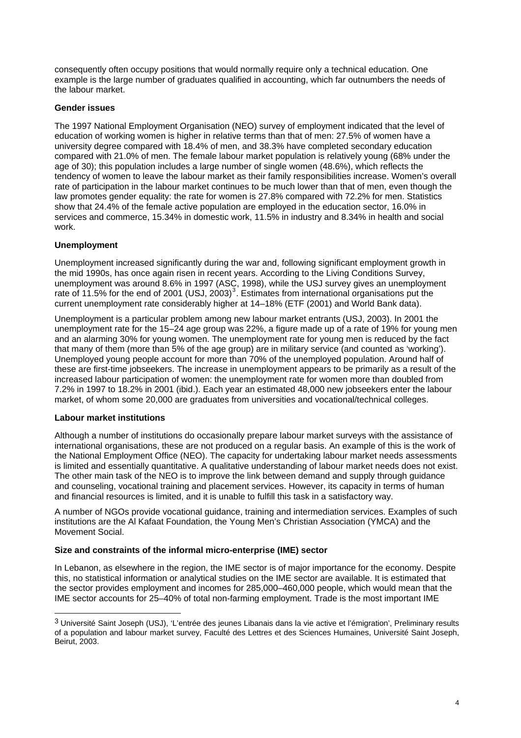consequently often occupy positions that would normally require only a technical education. One example is the large number of graduates qualified in accounting, which far outnumbers the needs of the labour market.

### **Gender issues**

The 1997 National Employment Organisation (NEO) survey of employment indicated that the level of education of working women is higher in relative terms than that of men: 27.5% of women have a university degree compared with 18.4% of men, and 38.3% have completed secondary education compared with 21.0% of men. The female labour market population is relatively young (68% under the age of 30); this population includes a large number of single women (48.6%), which reflects the tendency of women to leave the labour market as their family responsibilities increase. Women's overall rate of participation in the labour market continues to be much lower than that of men, even though the law promotes gender equality: the rate for women is 27.8% compared with 72.2% for men. Statistics show that 24.4% of the female active population are employed in the education sector, 16.0% in services and commerce, 15.34% in domestic work, 11.5% in industry and 8.34% in health and social work.

### **Unemployment**

Unemployment increased significantly during the war and, following significant employment growth in the mid 1990s, has once again risen in recent years. According to the Living Conditions Survey, unemployment was around 8.6% in 1997 (ASC, 1998), while the USJ survey gives an unemployment rate of 11.5% for the end of 2001 (USJ, 200[3](#page-4-0))<sup>3</sup>. Estimates from international organisations put the current unemployment rate considerably higher at 14–18% (ETF (2001) and World Bank data).

Unemployment is a particular problem among new labour market entrants (USJ, 2003). In 2001 the unemployment rate for the 15–24 age group was 22%, a figure made up of a rate of 19% for young men and an alarming 30% for young women. The unemployment rate for young men is reduced by the fact that many of them (more than 5% of the age group) are in military service (and counted as 'working'). Unemployed young people account for more than 70% of the unemployed population. Around half of these are first-time jobseekers. The increase in unemployment appears to be primarily as a result of the increased labour participation of women: the unemployment rate for women more than doubled from 7.2% in 1997 to 18.2% in 2001 (ibid.). Each year an estimated 48,000 new jobseekers enter the labour market, of whom some 20,000 are graduates from universities and vocational/technical colleges.

#### **Labour market institutions**

l

Although a number of institutions do occasionally prepare labour market surveys with the assistance of international organisations, these are not produced on a regular basis. An example of this is the work of the National Employment Office (NEO). The capacity for undertaking labour market needs assessments is limited and essentially quantitative. A qualitative understanding of labour market needs does not exist. The other main task of the NEO is to improve the link between demand and supply through guidance and counseling, vocational training and placement services. However, its capacity in terms of human and financial resources is limited, and it is unable to fulfill this task in a satisfactory way.

A number of NGOs provide vocational guidance, training and intermediation services. Examples of such institutions are the Al Kafaat Foundation, the Young Men's Christian Association (YMCA) and the Movement Social.

#### **Size and constraints of the informal micro-enterprise (IME) sector**

In Lebanon, as elsewhere in the region, the IME sector is of major importance for the economy. Despite this, no statistical information or analytical studies on the IME sector are available. It is estimated that the sector provides employment and incomes for 285,000–460,000 people, which would mean that the IME sector accounts for 25–40% of total non-farming employment. Trade is the most important IME

<span id="page-4-0"></span><sup>3</sup> Université Saint Joseph (USJ), 'L'entrée des jeunes Libanais dans la vie active et l'émigration', Preliminary results of a population and labour market survey, Faculté des Lettres et des Sciences Humaines, Université Saint Joseph, Beirut, 2003.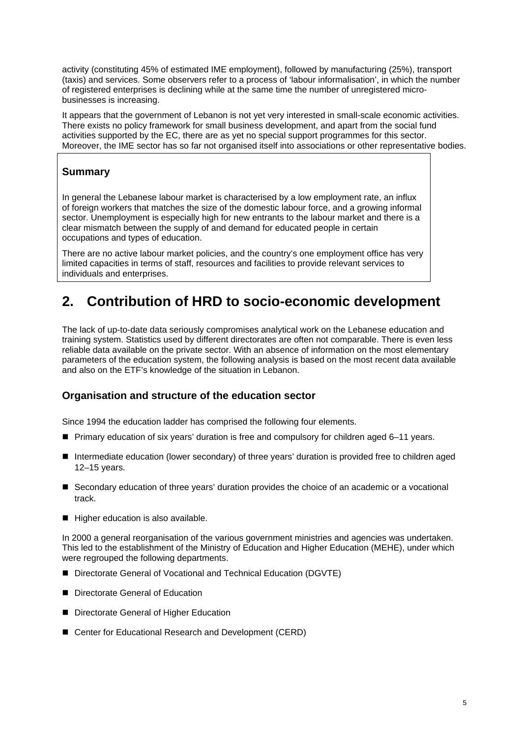activity (constituting 45% of estimated IME employment), followed by manufacturing (25%), transport (taxis) and services. Some observers refer to a process of 'labour informalisation', in which the number of registered enterprises is declining while at the same time the number of unregistered microbusinesses is increasing.

It appears that the government of Lebanon is not yet very interested in small-scale economic activities. There exists no policy framework for small business development, and apart from the social fund activities supported by the EC, there are as yet no special support programmes for this sector. Moreover, the IME sector has so far not organised itself into associations or other representative bodies.

# **Summary**

In general the Lebanese labour market is characterised by a low employment rate, an influx of foreign workers that matches the size of the domestic labour force, and a growing informal sector. Unemployment is especially high for new entrants to the labour market and there is a clear mismatch between the supply of and demand for educated people in certain occupations and types of education.

There are no active labour market policies, and the country's one employment office has very limited capacities in terms of staff, resources and facilities to provide relevant services to individuals and enterprises.

# **2. Contribution of HRD to socio-economic development**

The lack of up-to-date data seriously compromises analytical work on the Lebanese education and training system. Statistics used by different directorates are often not comparable. There is even less reliable data available on the private sector. With an absence of information on the most elementary parameters of the education system, the following analysis is based on the most recent data available and also on the ETF's knowledge of the situation in Lebanon.

## **Organisation and structure of the education sector**

Since 1994 the education ladder has comprised the following four elements.

- Primary education of six years' duration is free and compulsory for children aged 6–11 years.
- Intermediate education (lower secondary) of three years' duration is provided free to children aged 12–15 years.
- Secondary education of three years' duration provides the choice of an academic or a vocational track.
- Higher education is also available.

In 2000 a general reorganisation of the various government ministries and agencies was undertaken. This led to the establishment of the Ministry of Education and Higher Education (MEHE), under which were regrouped the following departments.

- Directorate General of Vocational and Technical Education (DGVTE)
- Directorate General of Education
- Directorate General of Higher Education
- Center for Educational Research and Development (CERD)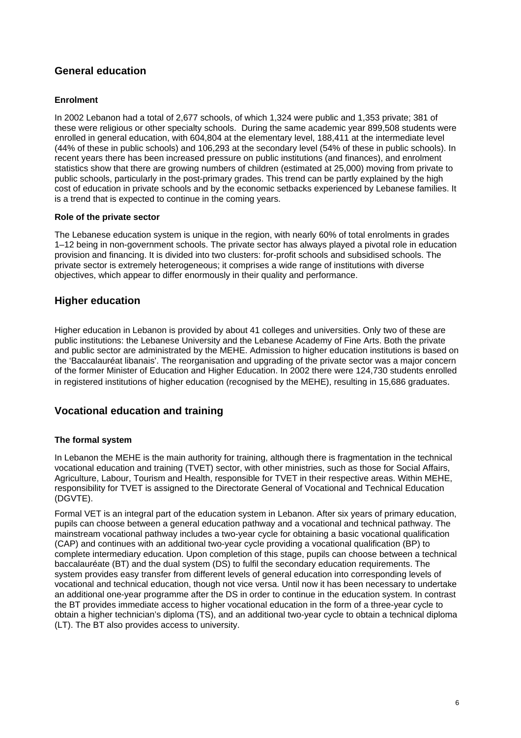# **General education**

## **Enrolment**

In 2002 Lebanon had a total of 2,677 schools, of which 1,324 were public and 1,353 private; 381 of these were religious or other specialty schools. During the same academic year 899,508 students were enrolled in general education, with 604,804 at the elementary level, 188,411 at the intermediate level (44% of these in public schools) and 106,293 at the secondary level (54% of these in public schools). In recent years there has been increased pressure on public institutions (and finances), and enrolment statistics show that there are growing numbers of children (estimated at 25,000) moving from private to public schools, particularly in the post-primary grades. This trend can be partly explained by the high cost of education in private schools and by the economic setbacks experienced by Lebanese families. It is a trend that is expected to continue in the coming years.

## **Role of the private sector**

The Lebanese education system is unique in the region, with nearly 60% of total enrolments in grades 1–12 being in non-government schools. The private sector has always played a pivotal role in education provision and financing. It is divided into two clusters: for-profit schools and subsidised schools. The private sector is extremely heterogeneous; it comprises a wide range of institutions with diverse objectives, which appear to differ enormously in their quality and performance.

# **Higher education**

Higher education in Lebanon is provided by about 41 colleges and universities. Only two of these are public institutions: the Lebanese University and the Lebanese Academy of Fine Arts. Both the private and public sector are administrated by the MEHE. Admission to higher education institutions is based on the 'Baccalauréat libanais'. The reorganisation and upgrading of the private sector was a major concern of the former Minister of Education and Higher Education. In 2002 there were 124,730 students enrolled in registered institutions of higher education (recognised by the MEHE), resulting in 15,686 graduates.

## **Vocational education and training**

## **The formal system**

In Lebanon the MEHE is the main authority for training, although there is fragmentation in the technical vocational education and training (TVET) sector, with other ministries, such as those for Social Affairs, Agriculture, Labour, Tourism and Health, responsible for TVET in their respective areas. Within MEHE, responsibility for TVET is assigned to the Directorate General of Vocational and Technical Education (DGVTE).

Formal VET is an integral part of the education system in Lebanon. After six years of primary education, pupils can choose between a general education pathway and a vocational and technical pathway. The mainstream vocational pathway includes a two-year cycle for obtaining a basic vocational qualification (CAP) and continues with an additional two-year cycle providing a vocational qualification (BP) to complete intermediary education. Upon completion of this stage, pupils can choose between a technical baccalauréate (BT) and the dual system (DS) to fulfil the secondary education requirements. The system provides easy transfer from different levels of general education into corresponding levels of vocational and technical education, though not vice versa. Until now it has been necessary to undertake an additional one-year programme after the DS in order to continue in the education system. In contrast the BT provides immediate access to higher vocational education in the form of a three-year cycle to obtain a higher technician's diploma (TS), and an additional two-year cycle to obtain a technical diploma (LT). The BT also provides access to university.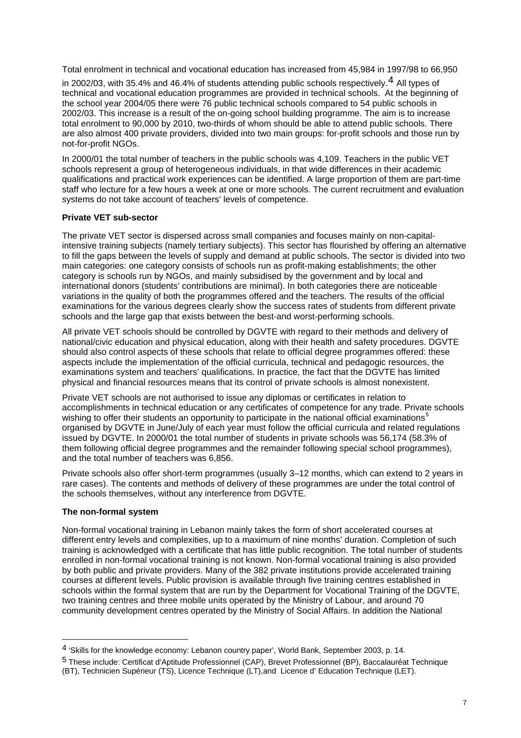Total enrolment in technical and vocational education has increased from 45,984 in 1997/98 to 66,950

in 2002/03, with 35.[4](#page-7-0)% and 46.4% of students attending public schools respectively.  $4$  All types of technical and vocational education programmes are provided in technical schools. At the beginning of the school year 2004/05 there were 76 public technical schools compared to 54 public schools in 2002/03. This increase is a result of the on-going school building programme. The aim is to increase total enrolment to 90,000 by 2010, two-thirds of whom should be able to attend public schools. There are also almost 400 private providers, divided into two main groups: for-profit schools and those run by not-for-profit NGOs.

In 2000/01 the total number of teachers in the public schools was 4,109. Teachers in the public VET schools represent a group of heterogeneous individuals, in that wide differences in their academic qualifications and practical work experiences can be identified. A large proportion of them are part-time staff who lecture for a few hours a week at one or more schools. The current recruitment and evaluation systems do not take account of teachers' levels of competence.

## **Private VET sub-sector**

The private VET sector is dispersed across small companies and focuses mainly on non-capitalintensive training subjects (namely tertiary subjects). This sector has flourished by offering an alternative to fill the gaps between the levels of supply and demand at public schools. The sector is divided into two main categories: one category consists of schools run as profit-making establishments; the other category is schools run by NGOs, and mainly subsidised by the government and by local and international donors (students' contributions are minimal). In both categories there are noticeable variations in the quality of both the programmes offered and the teachers. The results of the official examinations for the various degrees clearly show the success rates of students from different private schools and the large gap that exists between the best-and worst-performing schools.

All private VET schools should be controlled by DGVTE with regard to their methods and delivery of national/civic education and physical education, along with their health and safety procedures. DGVTE should also control aspects of these schools that relate to official degree programmes offered: these aspects include the implementation of the official curricula, technical and pedagogic resources, the examinations system and teachers' qualifications. In practice, the fact that the DGVTE has limited physical and financial resources means that its control of private schools is almost nonexistent.

Private VET schools are not authorised to issue any diplomas or certificates in relation to accomplishments in technical education or any certificates of competence for any trade. Private schools wishing to offer their students an opportunity to participate in the national official examinations<sup>[5](#page-7-1)</sup> organised by DGVTE in June/July of each year must follow the official curricula and related regulations issued by DGVTE. In 2000/01 the total number of students in private schools was 56,174 (58.3% of them following official degree programmes and the remainder following special school programmes), and the total number of teachers was 6,856.

Private schools also offer short-term programmes (usually 3–12 months, which can extend to 2 years in rare cases). The contents and methods of delivery of these programmes are under the total control of the schools themselves, without any interference from DGVTE.

## **The non-formal system**

l

Non-formal vocational training in Lebanon mainly takes the form of short accelerated courses at different entry levels and complexities, up to a maximum of nine months' duration. Completion of such training is acknowledged with a certificate that has little public recognition. The total number of students enrolled in non-formal vocational training is not known. Non-formal vocational training is also provided by both public and private providers. Many of the 382 private institutions provide accelerated training courses at different levels. Public provision is available through five training centres established in schools within the formal system that are run by the Department for Vocational Training of the DGVTE, two training centres and three mobile units operated by the Ministry of Labour, and around 70 community development centres operated by the Ministry of Social Affairs. In addition the National

<span id="page-7-0"></span><sup>4 &#</sup>x27;Skills for the knowledge economy: Lebanon country paper', World Bank, September 2003, p. 14.

<span id="page-7-1"></span><sup>5</sup> These include: Certificat d'Aptitude Professionnel (CAP), Brevet Professionnel (BP), Baccalauréat Technique (BT), Technicien Supérieur (TS), Licence Technique (LT),and Licence d' Education Technique (LET).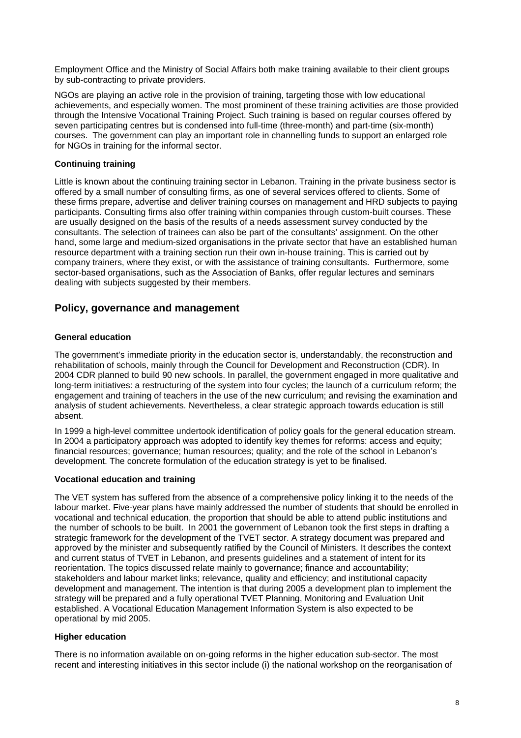Employment Office and the Ministry of Social Affairs both make training available to their client groups by sub-contracting to private providers.

NGOs are playing an active role in the provision of training, targeting those with low educational achievements, and especially women. The most prominent of these training activities are those provided through the Intensive Vocational Training Project. Such training is based on regular courses offered by seven participating centres but is condensed into full-time (three-month) and part-time (six-month) courses. The government can play an important role in channelling funds to support an enlarged role for NGOs in training for the informal sector.

## **Continuing training**

Little is known about the continuing training sector in Lebanon. Training in the private business sector is offered by a small number of consulting firms, as one of several services offered to clients. Some of these firms prepare, advertise and deliver training courses on management and HRD subjects to paying participants. Consulting firms also offer training within companies through custom-built courses. These are usually designed on the basis of the results of a needs assessment survey conducted by the consultants. The selection of trainees can also be part of the consultants' assignment. On the other hand, some large and medium-sized organisations in the private sector that have an established human resource department with a training section run their own in-house training. This is carried out by company trainers, where they exist, or with the assistance of training consultants. Furthermore, some sector-based organisations, such as the Association of Banks, offer regular lectures and seminars dealing with subjects suggested by their members.

## **Policy, governance and management**

### **General education**

The government's immediate priority in the education sector is, understandably, the reconstruction and rehabilitation of schools, mainly through the Council for Development and Reconstruction (CDR). In 2004 CDR planned to build 90 new schools. In parallel, the government engaged in more qualitative and long-term initiatives: a restructuring of the system into four cycles; the launch of a curriculum reform; the engagement and training of teachers in the use of the new curriculum; and revising the examination and analysis of student achievements. Nevertheless, a clear strategic approach towards education is still absent.

In 1999 a high-level committee undertook identification of policy goals for the general education stream. In 2004 a participatory approach was adopted to identify key themes for reforms: access and equity; financial resources; governance; human resources; quality; and the role of the school in Lebanon's development. The concrete formulation of the education strategy is yet to be finalised.

## **Vocational education and training**

The VET system has suffered from the absence of a comprehensive policy linking it to the needs of the labour market. Five-year plans have mainly addressed the number of students that should be enrolled in vocational and technical education, the proportion that should be able to attend public institutions and the number of schools to be built. In 2001 the government of Lebanon took the first steps in drafting a strategic framework for the development of the TVET sector. A strategy document was prepared and approved by the minister and subsequently ratified by the Council of Ministers. It describes the context and current status of TVET in Lebanon, and presents guidelines and a statement of intent for its reorientation. The topics discussed relate mainly to governance; finance and accountability; stakeholders and labour market links; relevance, quality and efficiency; and institutional capacity development and management. The intention is that during 2005 a development plan to implement the strategy will be prepared and a fully operational TVET Planning, Monitoring and Evaluation Unit established. A Vocational Education Management Information System is also expected to be operational by mid 2005.

## **Higher education**

There is no information available on on-going reforms in the higher education sub-sector. The most recent and interesting initiatives in this sector include (i) the national workshop on the reorganisation of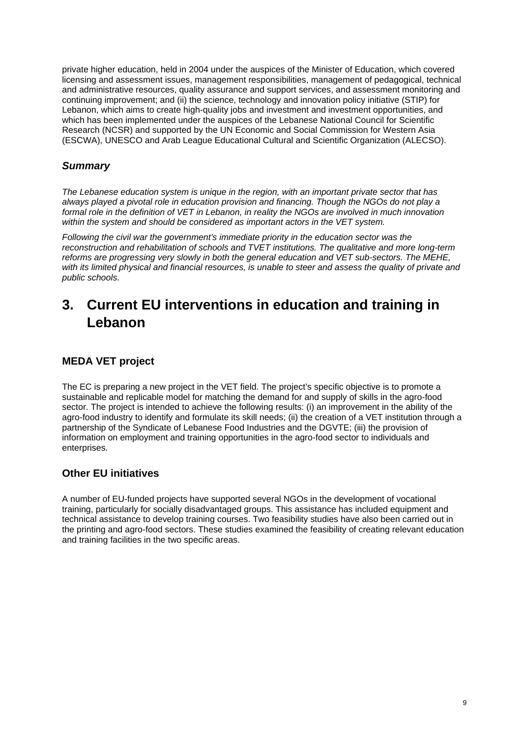private higher education, held in 2004 under the auspices of the Minister of Education, which covered licensing and assessment issues, management responsibilities, management of pedagogical, technical and administrative resources, quality assurance and support services, and assessment monitoring and continuing improvement; and (ii) the science, technology and innovation policy initiative (STIP) for Lebanon, which aims to create high-quality jobs and investment and investment opportunities, and which has been implemented under the auspices of the Lebanese National Council for Scientific Research (NCSR) and supported by the UN Economic and Social Commission for Western Asia (ESCWA), UNESCO and Arab League Educational Cultural and Scientific Organization (ALECSO).

# *Summary*

*The Lebanese education system is unique in the region, with an important private sector that has always played a pivotal role in education provision and financing. Though the NGOs do not play a formal role in the definition of VET in Lebanon, in reality the NGOs are involved in much innovation within the system and should be considered as important actors in the VET system.* 

*Following the civil war the government's immediate priority in the education sector was the reconstruction and rehabilitation of schools and TVET institutions. The qualitative and more long-term reforms are progressing very slowly in both the general education and VET sub-sectors. The MEHE, with its limited physical and financial resources, is unable to steer and assess the quality of private and public schools.* 

# **3. Current EU interventions in education and training in Lebanon**

# **MEDA VET project**

The EC is preparing a new project in the VET field. The project's specific objective is to promote a sustainable and replicable model for matching the demand for and supply of skills in the agro-food sector. The project is intended to achieve the following results: (i) an improvement in the ability of the agro-food industry to identify and formulate its skill needs; (ii) the creation of a VET institution through a partnership of the Syndicate of Lebanese Food Industries and the DGVTE; (iii) the provision of information on employment and training opportunities in the agro-food sector to individuals and enterprises.

# **Other EU initiatives**

A number of EU-funded projects have supported several NGOs in the development of vocational training, particularly for socially disadvantaged groups. This assistance has included equipment and technical assistance to develop training courses. Two feasibility studies have also been carried out in the printing and agro-food sectors. These studies examined the feasibility of creating relevant education and training facilities in the two specific areas.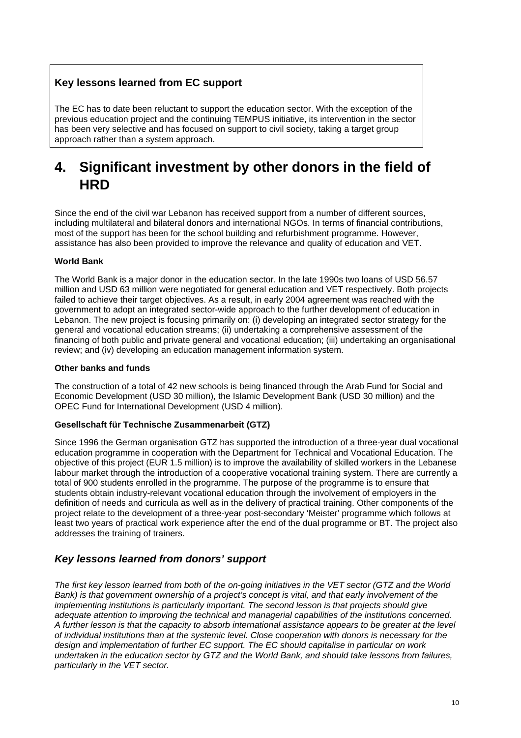# **Key lessons learned from EC support**

The EC has to date been reluctant to support the education sector. With the exception of the previous education project and the continuing TEMPUS initiative, its intervention in the sector has been very selective and has focused on support to civil society, taking a target group approach rather than a system approach.

# **4. Significant investment by other donors in the field of HRD**

Since the end of the civil war Lebanon has received support from a number of different sources, including multilateral and bilateral donors and international NGOs. In terms of financial contributions, most of the support has been for the school building and refurbishment programme. However, assistance has also been provided to improve the relevance and quality of education and VET.

## **World Bank**

The World Bank is a major donor in the education sector. In the late 1990s two loans of USD 56.57 million and USD 63 million were negotiated for general education and VET respectively. Both projects failed to achieve their target objectives. As a result, in early 2004 agreement was reached with the government to adopt an integrated sector-wide approach to the further development of education in Lebanon. The new project is focusing primarily on: (i) developing an integrated sector strategy for the general and vocational education streams; (ii) undertaking a comprehensive assessment of the financing of both public and private general and vocational education; (iii) undertaking an organisational review; and (iv) developing an education management information system.

## **Other banks and funds**

The construction of a total of 42 new schools is being financed through the Arab Fund for Social and Economic Development (USD 30 million), the Islamic Development Bank (USD 30 million) and the OPEC Fund for International Development (USD 4 million).

## **Gesellschaft für Technische Zusammenarbeit (GTZ)**

Since 1996 the German organisation GTZ has supported the introduction of a three-year dual vocational education programme in cooperation with the Department for Technical and Vocational Education. The objective of this project (EUR 1.5 million) is to improve the availability of skilled workers in the Lebanese labour market through the introduction of a cooperative vocational training system. There are currently a total of 900 students enrolled in the programme. The purpose of the programme is to ensure that students obtain industry-relevant vocational education through the involvement of employers in the definition of needs and curricula as well as in the delivery of practical training. Other components of the project relate to the development of a three-year post-secondary 'Meister' programme which follows at least two years of practical work experience after the end of the dual programme or BT. The project also addresses the training of trainers.

## *Key lessons learned from donors' support*

*The first key lesson learned from both of the on-going initiatives in the VET sector (GTZ and the World Bank) is that government ownership of a project's concept is vital, and that early involvement of the implementing institutions is particularly important. The second lesson is that projects should give adequate attention to improving the technical and managerial capabilities of the institutions concerned. A further lesson is that the capacity to absorb international assistance appears to be greater at the level of individual institutions than at the systemic level. Close cooperation with donors is necessary for the design and implementation of further EC support. The EC should capitalise in particular on work undertaken in the education sector by GTZ and the World Bank, and should take lessons from failures, particularly in the VET sector.*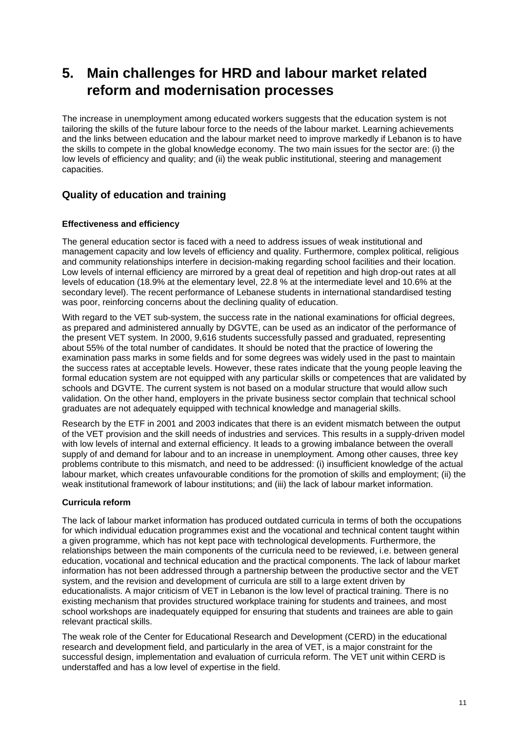# **5. Main challenges for HRD and labour market related reform and modernisation processes**

The increase in unemployment among educated workers suggests that the education system is not tailoring the skills of the future labour force to the needs of the labour market. Learning achievements and the links between education and the labour market need to improve markedly if Lebanon is to have the skills to compete in the global knowledge economy. The two main issues for the sector are: (i) the low levels of efficiency and quality; and (ii) the weak public institutional, steering and management capacities.

# **Quality of education and training**

## **Effectiveness and efficiency**

The general education sector is faced with a need to address issues of weak institutional and management capacity and low levels of efficiency and quality. Furthermore, complex political, religious and community relationships interfere in decision-making regarding school facilities and their location. Low levels of internal efficiency are mirrored by a great deal of repetition and high drop-out rates at all levels of education (18.9% at the elementary level, 22.8 % at the intermediate level and 10.6% at the secondary level). The recent performance of Lebanese students in international standardised testing was poor, reinforcing concerns about the declining quality of education.

With regard to the VET sub-system, the success rate in the national examinations for official degrees, as prepared and administered annually by DGVTE, can be used as an indicator of the performance of the present VET system. In 2000, 9,616 students successfully passed and graduated, representing about 55% of the total number of candidates. It should be noted that the practice of lowering the examination pass marks in some fields and for some degrees was widely used in the past to maintain the success rates at acceptable levels. However, these rates indicate that the young people leaving the formal education system are not equipped with any particular skills or competences that are validated by schools and DGVTE. The current system is not based on a modular structure that would allow such validation. On the other hand, employers in the private business sector complain that technical school graduates are not adequately equipped with technical knowledge and managerial skills.

Research by the ETF in 2001 and 2003 indicates that there is an evident mismatch between the output of the VET provision and the skill needs of industries and services. This results in a supply-driven model with low levels of internal and external efficiency. It leads to a growing imbalance between the overall supply of and demand for labour and to an increase in unemployment. Among other causes, three key problems contribute to this mismatch, and need to be addressed: (i) insufficient knowledge of the actual labour market, which creates unfavourable conditions for the promotion of skills and employment; (ii) the weak institutional framework of labour institutions; and (iii) the lack of labour market information.

## **Curricula reform**

The lack of labour market information has produced outdated curricula in terms of both the occupations for which individual education programmes exist and the vocational and technical content taught within a given programme, which has not kept pace with technological developments. Furthermore, the relationships between the main components of the curricula need to be reviewed, i.e. between general education, vocational and technical education and the practical components. The lack of labour market information has not been addressed through a partnership between the productive sector and the VET system, and the revision and development of curricula are still to a large extent driven by educationalists. A major criticism of VET in Lebanon is the low level of practical training. There is no existing mechanism that provides structured workplace training for students and trainees, and most school workshops are inadequately equipped for ensuring that students and trainees are able to gain relevant practical skills.

The weak role of the Center for Educational Research and Development (CERD) in the educational research and development field, and particularly in the area of VET, is a major constraint for the successful design, implementation and evaluation of curricula reform. The VET unit within CERD is understaffed and has a low level of expertise in the field.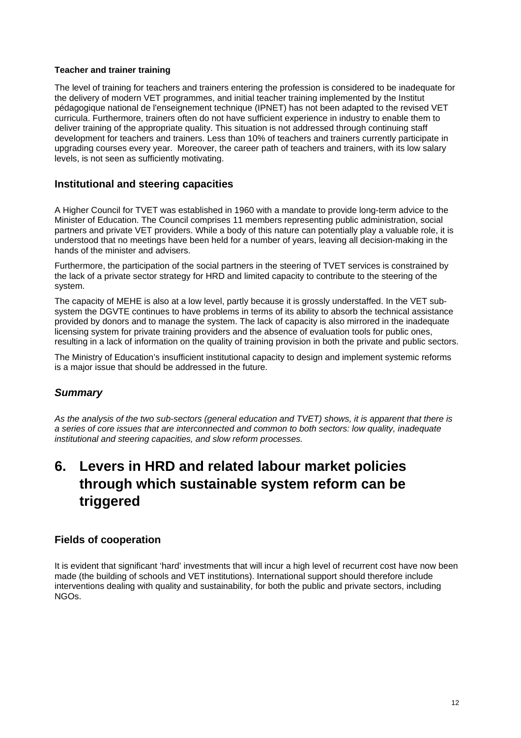## **Teacher and trainer training**

The level of training for teachers and trainers entering the profession is considered to be inadequate for the delivery of modern VET programmes, and initial teacher training implemented by the Institut pédagogique national de l'enseignement technique (IPNET) has not been adapted to the revised VET curricula. Furthermore, trainers often do not have sufficient experience in industry to enable them to deliver training of the appropriate quality. This situation is not addressed through continuing staff development for teachers and trainers. Less than 10% of teachers and trainers currently participate in upgrading courses every year. Moreover, the career path of teachers and trainers, with its low salary levels, is not seen as sufficiently motivating.

## **Institutional and steering capacities**

A Higher Council for TVET was established in 1960 with a mandate to provide long-term advice to the Minister of Education. The Council comprises 11 members representing public administration, social partners and private VET providers. While a body of this nature can potentially play a valuable role, it is understood that no meetings have been held for a number of years, leaving all decision-making in the hands of the minister and advisers.

Furthermore, the participation of the social partners in the steering of TVET services is constrained by the lack of a private sector strategy for HRD and limited capacity to contribute to the steering of the system.

The capacity of MEHE is also at a low level, partly because it is grossly understaffed. In the VET subsystem the DGVTE continues to have problems in terms of its ability to absorb the technical assistance provided by donors and to manage the system. The lack of capacity is also mirrored in the inadequate licensing system for private training providers and the absence of evaluation tools for public ones, resulting in a lack of information on the quality of training provision in both the private and public sectors.

The Ministry of Education's insufficient institutional capacity to design and implement systemic reforms is a major issue that should be addressed in the future.

## *Summary*

*As the analysis of the two sub-sectors (general education and TVET) shows, it is apparent that there is a series of core issues that are interconnected and common to both sectors: low quality, inadequate institutional and steering capacities, and slow reform processes.* 

# **6. Levers in HRD and related labour market policies through which sustainable system reform can be triggered**

## **Fields of cooperation**

It is evident that significant 'hard' investments that will incur a high level of recurrent cost have now been made (the building of schools and VET institutions). International support should therefore include interventions dealing with quality and sustainability, for both the public and private sectors, including NGOs.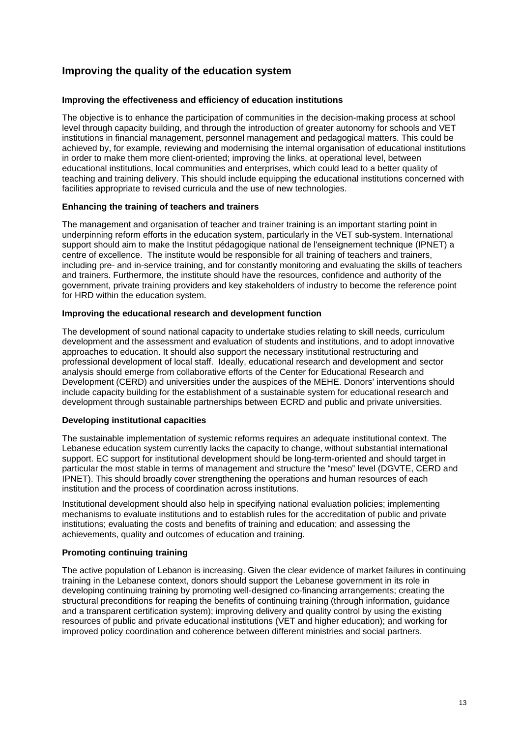# **Improving the quality of the education system**

### **Improving the effectiveness and efficiency of education institutions**

The objective is to enhance the participation of communities in the decision-making process at school level through capacity building, and through the introduction of greater autonomy for schools and VET institutions in financial management, personnel management and pedagogical matters. This could be achieved by, for example, reviewing and modernising the internal organisation of educational institutions in order to make them more client-oriented; improving the links, at operational level, between educational institutions, local communities and enterprises, which could lead to a better quality of teaching and training delivery. This should include equipping the educational institutions concerned with facilities appropriate to revised curricula and the use of new technologies.

### **Enhancing the training of teachers and trainers**

The management and organisation of teacher and trainer training is an important starting point in underpinning reform efforts in the education system, particularly in the VET sub-system. International support should aim to make the Institut pédagogique national de l'enseignement technique (IPNET) a centre of excellence. The institute would be responsible for all training of teachers and trainers, including pre- and in-service training, and for constantly monitoring and evaluating the skills of teachers and trainers. Furthermore, the institute should have the resources, confidence and authority of the government, private training providers and key stakeholders of industry to become the reference point for HRD within the education system.

### **Improving the educational research and development function**

The development of sound national capacity to undertake studies relating to skill needs, curriculum development and the assessment and evaluation of students and institutions, and to adopt innovative approaches to education. It should also support the necessary institutional restructuring and professional development of local staff. Ideally, educational research and development and sector analysis should emerge from collaborative efforts of the Center for Educational Research and Development (CERD) and universities under the auspices of the MEHE. Donors' interventions should include capacity building for the establishment of a sustainable system for educational research and development through sustainable partnerships between ECRD and public and private universities.

## **Developing institutional capacities**

The sustainable implementation of systemic reforms requires an adequate institutional context. The Lebanese education system currently lacks the capacity to change, without substantial international support. EC support for institutional development should be long-term-oriented and should target in particular the most stable in terms of management and structure the "meso" level (DGVTE, CERD and IPNET). This should broadly cover strengthening the operations and human resources of each institution and the process of coordination across institutions.

Institutional development should also help in specifying national evaluation policies; implementing mechanisms to evaluate institutions and to establish rules for the accreditation of public and private institutions; evaluating the costs and benefits of training and education; and assessing the achievements, quality and outcomes of education and training.

## **Promoting continuing training**

The active population of Lebanon is increasing. Given the clear evidence of market failures in continuing training in the Lebanese context, donors should support the Lebanese government in its role in developing continuing training by promoting well-designed co-financing arrangements; creating the structural preconditions for reaping the benefits of continuing training (through information, guidance and a transparent certification system); improving delivery and quality control by using the existing resources of public and private educational institutions (VET and higher education); and working for improved policy coordination and coherence between different ministries and social partners.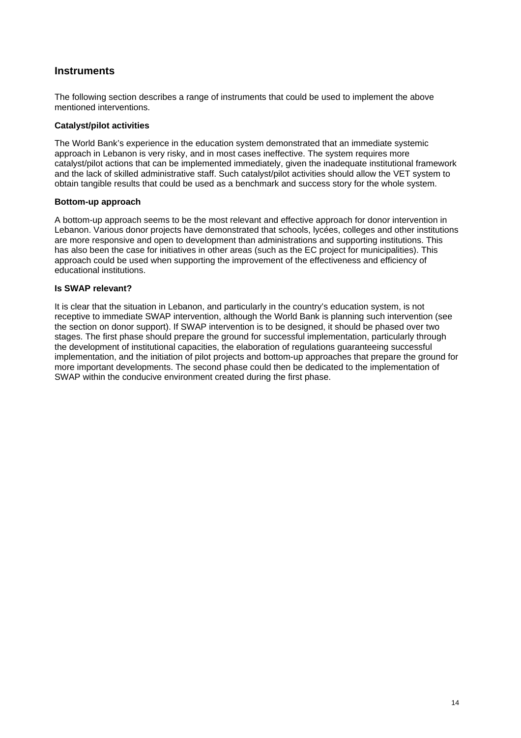## **Instruments**

The following section describes a range of instruments that could be used to implement the above mentioned interventions.

## **Catalyst/pilot activities**

The World Bank's experience in the education system demonstrated that an immediate systemic approach in Lebanon is very risky, and in most cases ineffective. The system requires more catalyst/pilot actions that can be implemented immediately, given the inadequate institutional framework and the lack of skilled administrative staff. Such catalyst/pilot activities should allow the VET system to obtain tangible results that could be used as a benchmark and success story for the whole system.

### **Bottom-up approach**

A bottom-up approach seems to be the most relevant and effective approach for donor intervention in Lebanon. Various donor projects have demonstrated that schools, lycées, colleges and other institutions are more responsive and open to development than administrations and supporting institutions. This has also been the case for initiatives in other areas (such as the EC project for municipalities). This approach could be used when supporting the improvement of the effectiveness and efficiency of educational institutions.

### **Is SWAP relevant?**

It is clear that the situation in Lebanon, and particularly in the country's education system, is not receptive to immediate SWAP intervention, although the World Bank is planning such intervention (see the section on donor support). If SWAP intervention is to be designed, it should be phased over two stages. The first phase should prepare the ground for successful implementation, particularly through the development of institutional capacities, the elaboration of regulations guaranteeing successful implementation, and the initiation of pilot projects and bottom-up approaches that prepare the ground for more important developments. The second phase could then be dedicated to the implementation of SWAP within the conducive environment created during the first phase.